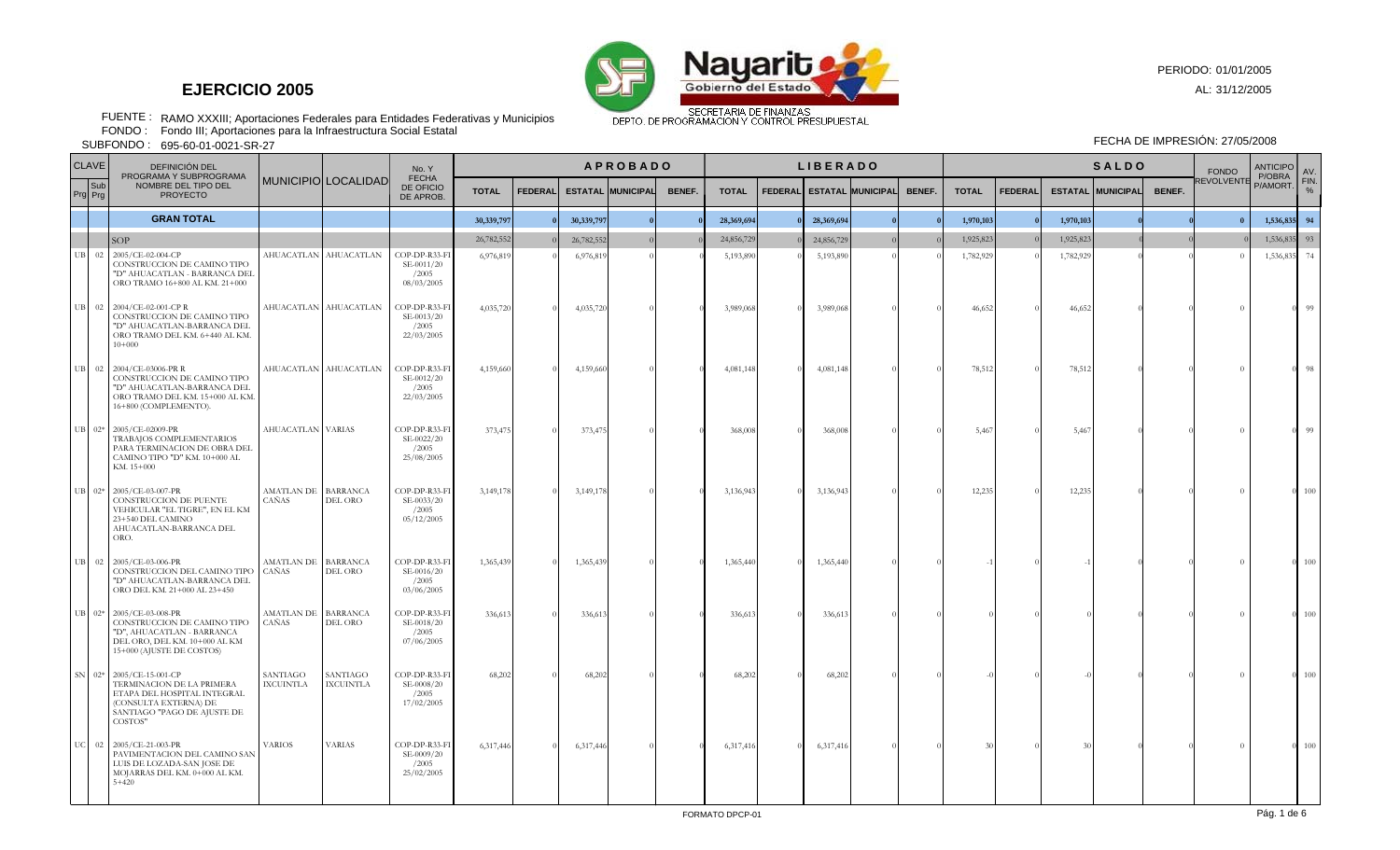

RAMO XXXIII; Aportaciones Federales para Entidades Federativas y Municipios FUENTE : FONDO : FECHA DE IMPRESIÓN: 27/05/2008

Fondo III; Aportaciones para la Infraestructura Social Estatal

695-60-01-0021-SR-27 SUBFONDO :

|    | <b>CLAVE</b>   | DEFINICIÓN DEL                                                                                                                                          |                              |                              | No. Y                                              | <b>APROBADO</b> |                |            |                          |        |              | <b>LIBERADO</b> |            |                           |        |              | <b>SALDO</b>   |           |                          |        |            | <b>ANTICIPO</b><br>P/OBRA | AV.                   |
|----|----------------|---------------------------------------------------------------------------------------------------------------------------------------------------------|------------------------------|------------------------------|----------------------------------------------------|-----------------|----------------|------------|--------------------------|--------|--------------|-----------------|------------|---------------------------|--------|--------------|----------------|-----------|--------------------------|--------|------------|---------------------------|-----------------------|
|    | Sub<br>Prg Prg | PROGRAMA Y SUBPROGRAMA<br>NOMBRE DEL TIPO DEL<br><b>PROYECTO</b>                                                                                        |                              | MUNICIPIO LOCALIDAD          | <b>FECHA</b><br>DE OFICIO<br>DE APROB.             | <b>TOTAL</b>    | <b>FEDERAL</b> |            | <b>ESTATAL MUNICIPAL</b> | BENEF. | <b>TOTAL</b> |                 |            | FEDERAL ESTATAL MUNICIPAL | BENEF. | <b>TOTAL</b> | <b>FEDERAL</b> |           | <b>ESTATAL MUNICIPAL</b> | BENEF. | REVOLVENTE | P/AMORT.                  | FIN.<br>$\frac{1}{2}$ |
|    |                | <b>GRAN TOTAL</b>                                                                                                                                       |                              |                              |                                                    | 30,339,797      |                | 30,339,797 | $\sqrt{ }$               |        | 28,369,694   |                 | 28,369,694 |                           |        | 1,970,103    |                | 1,970,103 |                          |        | $\theta$   | 1,536,835                 | 94                    |
|    |                | <b>SOP</b>                                                                                                                                              |                              |                              |                                                    | 26,782,552      |                | 26,782,55  |                          |        | 24,856,729   |                 | 24,856,729 |                           |        | 1,925,823    |                | 1,925,823 |                          |        |            | 1,536,835                 | 93                    |
| UB |                | 02 2005/CE-02-004-CP<br>CONSTRUCCION DE CAMINO TIPO<br>"D" AHUACATLAN - BARRANCA DEL<br>ORO TRAMO 16+800 AL KM. 21+000                                  |                              | AHUACATLAN AHUACATLAN        | COP-DP-R33-FI<br>SE-0011/20<br>/2005<br>08/03/2005 | 6,976,819       |                | 6,976,81   |                          |        | 5,193,890    |                 | 5,193,890  |                           |        | 1,782,929    |                | 1,782,929 |                          |        |            | 1,536,835                 | 74                    |
|    |                | UB 02 2004/CE-02-001-CPR<br>CONSTRUCCION DE CAMINO TIPO<br>"D" AHUACATLAN-BARRANCA DEL<br>ORO TRAMO DEL KM. 6+440 AL KM.<br>$10+000$                    |                              | AHUACATLAN AHUACATLAN        | COP-DP-R33-FI<br>SE-0013/20<br>/2005<br>22/03/2005 | 4,035,720       |                | 4,035,720  |                          |        | 3,989,068    |                 | 3,989,068  |                           |        | 46,652       |                | 46,652    |                          |        | $\Omega$   |                           | 99                    |
|    |                | UB 02 2004/CE-03006-PR R<br>CONSTRUCCION DE CAMINO TIPO<br>"D" AHUACATLAN-BARRANCA DEL<br>ORO TRAMO DEL KM. 15+000 AL KM.<br>16+800 (COMPLEMENTO).      |                              | AHUACATLAN AHUACATLAN        | COP-DP-R33-FI<br>SE-0012/20<br>/2005<br>22/03/2005 | 4,159,660       |                | 4,159,660  |                          |        | 4,081,148    |                 | 4,081,148  |                           |        | 78,512       |                | 78,512    |                          |        | $\theta$   |                           | 98                    |
|    |                | UB 02* 2005/CE-02009-PR<br>TRABAJOS COMPLEMENTARIOS<br>PARA TERMINACION DE OBRA DEL<br>CAMINO TIPO "D" KM. 10+000 AL<br>KM, 15+000                      | AHUACATLAN VARIAS            |                              | COP-DP-R33-FI<br>SE-0022/20<br>/2005<br>25/08/2005 | 373,475         |                | 373,47     |                          |        | 368,008      |                 | 368,008    |                           |        | 5,467        |                | 5,467     |                          |        | $\Omega$   |                           | 99                    |
|    |                | UB 02* 2005/CE-03-007-PR<br>CONSTRUCCION DE PUENTE<br>VEHICULAR "EL TIGRE", EN EL KM<br>23+540 DEL CAMINO<br>AHUACATLAN-BARRANCA DEL<br>ORO.            | AMATLAN DE BARRANCA<br>CAÑAS | DEL ORO                      | COP-DP-R33-FI<br>SE-0033/20<br>/2005<br>05/12/2005 | 3,149,178       |                | 3,149,17   |                          |        | 3,136,943    |                 | 3,136,943  |                           |        | 12,235       |                | 12,235    |                          |        | $\Omega$   |                           | 100                   |
|    |                | UB 02 2005/CE-03-006-PR<br>CONSTRUCCION DEL CAMINO TIPO<br>"D" AHUACATLAN-BARRANCA DEL<br>ORO DEL KM. 21+000 AL 23+450                                  | AMATLAN DE BARRANCA<br>CAÑAS | DEL ORO                      | COP-DP-R33-FI<br>SE-0016/20<br>/2005<br>03/06/2005 | 1,365,439       |                | 1,365,43   |                          |        | 1,365,440    |                 | 1,365,440  |                           |        |              |                |           |                          |        | $\Omega$   | $\Omega$                  | 100                   |
|    |                | UB 02* 2005/CE-03-008-PR<br>CONSTRUCCION DE CAMINO TIPO<br>"D", AHUACATLAN - BARRANCA<br>DEL ORO, DEL KM. 10+000 AL KM<br>15+000 (AJUSTE DE COSTOS)     | AMATLAN DE BARRANCA<br>CAÑAS | DEL ORO                      | COP-DP-R33-FI<br>SE-0018/20<br>/2005<br>07/06/2005 | 336,613         |                | 336,61     |                          |        | 336,613      |                 | 336,613    |                           |        |              |                |           |                          |        | $\Omega$   | $\theta$                  | 100                   |
|    |                | SN 02* 2005/CE-15-001-CP<br>TERMINACION DE LA PRIMERA<br>ETAPA DEL HOSPITAL INTEGRAL<br>(CONSULTA EXTERNA) DE<br>SANTIAGO "PAGO DE AJUSTE DE<br>COSTOS" | SANTIAGO<br><b>IXCUINTLA</b> | SANTIAGO<br><b>IXCUINTLA</b> | COP-DP-R33-FI<br>SE-0008/20<br>/2005<br>17/02/2005 | 68,202          |                | 68,20      |                          |        | 68,202       |                 | 68,202     |                           |        |              |                |           |                          |        | $\Omega$   | $\Omega$                  | 100                   |
|    |                | UC 02 2005/CE-21-003-PR<br>PAVIMENTACION DEL CAMINO SAN<br>LUIS DE LOZADA-SAN JOSE DE<br>MOJARRAS DEL KM. 0+000 AL KM.<br>$5 + 420$                     | <b>VARIOS</b>                | <b>VARIAS</b>                | COP-DP-R33-FI<br>SE-0009/20<br>/2005<br>25/02/2005 | 6,317,446       |                | 6,317,44   |                          |        | 6,317,416    |                 | 6,317,416  |                           |        | 30           |                |           |                          |        | $\Omega$   | $\Omega$                  | 100                   |

AL: 31/12/2005

PERIODO: 01/01/2005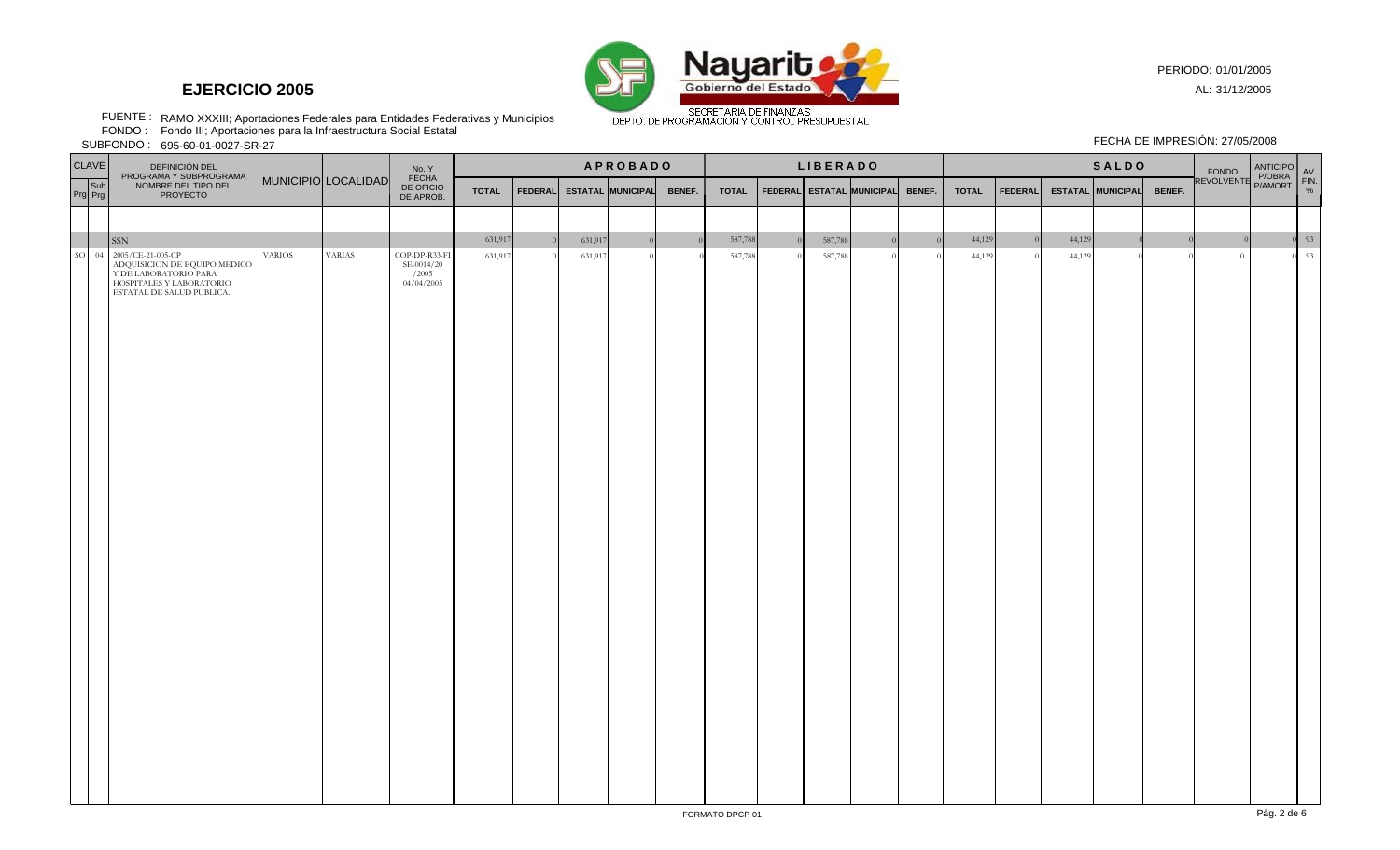

PERIODO: 01/01/2005

FECHA DE IMPRESIÓN: 27/05/2008

AL: 31/12/2005

RAMO XXXIII; Aportaciones Federales para Entidades Federativas y Municipios FUENTE : FONDO :

Fondo III; Aportaciones para la Infraestructura Social Estatal

SUBFONDO : 695-60-01-0027-SR-27

|               | $ -$<br><b>CLAVE</b> | DEFINICIÓN DEL                                                                                                                                    |               |                     | No. Y                                              | <b>APROBADO</b> |                |                    |                          |                |              | <b>LIBERADO</b> |                    |                                  |  |              | <b>SALDO</b>   |        |                          |        |                                                 |  |                                                    |
|---------------|----------------------|---------------------------------------------------------------------------------------------------------------------------------------------------|---------------|---------------------|----------------------------------------------------|-----------------|----------------|--------------------|--------------------------|----------------|--------------|-----------------|--------------------|----------------------------------|--|--------------|----------------|--------|--------------------------|--------|-------------------------------------------------|--|----------------------------------------------------|
|               | Sub<br>Prg Prg       | PROGRAMA Y SUBPROGRAMA<br>NOMBRE DEL TIPO DEL<br>PROYECTO                                                                                         |               | MUNICIPIO LOCALIDAD | FECHA<br>DE OFICIO<br>DE APROB.                    | <b>TOTAL</b>    | <b>FEDERAL</b> |                    | <b>ESTATAL MUNICIPAL</b> | BENEF.         | <b>TOTAL</b> |                 |                    | FEDERAL ESTATAL MUNICIPAL BENEF. |  | <b>TOTAL</b> | <b>FEDERAL</b> |        | <b>ESTATAL MUNICIPAL</b> | BENEF. | FONDO ANTICIPO<br>REVOLVENTE P/OBRA<br>P/AMORT. |  | AV.<br>$\begin{array}{c}\nFIN. \\ % \n\end{array}$ |
|               |                      |                                                                                                                                                   |               |                     |                                                    |                 |                |                    |                          |                |              |                 |                    |                                  |  |              |                |        |                          |        |                                                 |  |                                                    |
|               |                      |                                                                                                                                                   |               |                     |                                                    | 631,917         |                |                    | $\overline{0}$           | $\overline{0}$ | 587,788      |                 |                    | $\Omega$                         |  | 44,129       |                | 44,129 |                          |        |                                                 |  | $0\qquad$ 93                                       |
| <sub>SO</sub> | 04                   | <b>SSN</b><br>2005/CE-21-005-CP<br>ADQUISICION DE EQUIPO MEDICO<br>Y DE LABORATORIO PARA<br>HOSPITALES Y LABORATORIO<br>ESTATAL DE SALUD PUBLICA. | <b>VARIOS</b> | <b>VARIAS</b>       | COP-DP-R33-FI<br>SE-0014/20<br>/2005<br>04/04/2005 | 631,917         |                | 631,917<br>631,917 | $\Omega$                 |                | 587,788      |                 | 587,788<br>587,788 |                                  |  | 44,129       |                | 44,129 |                          |        | $\overline{0}$                                  |  | 93                                                 |
|               |                      |                                                                                                                                                   |               |                     |                                                    |                 |                |                    |                          |                |              |                 |                    |                                  |  |              |                |        |                          |        |                                                 |  |                                                    |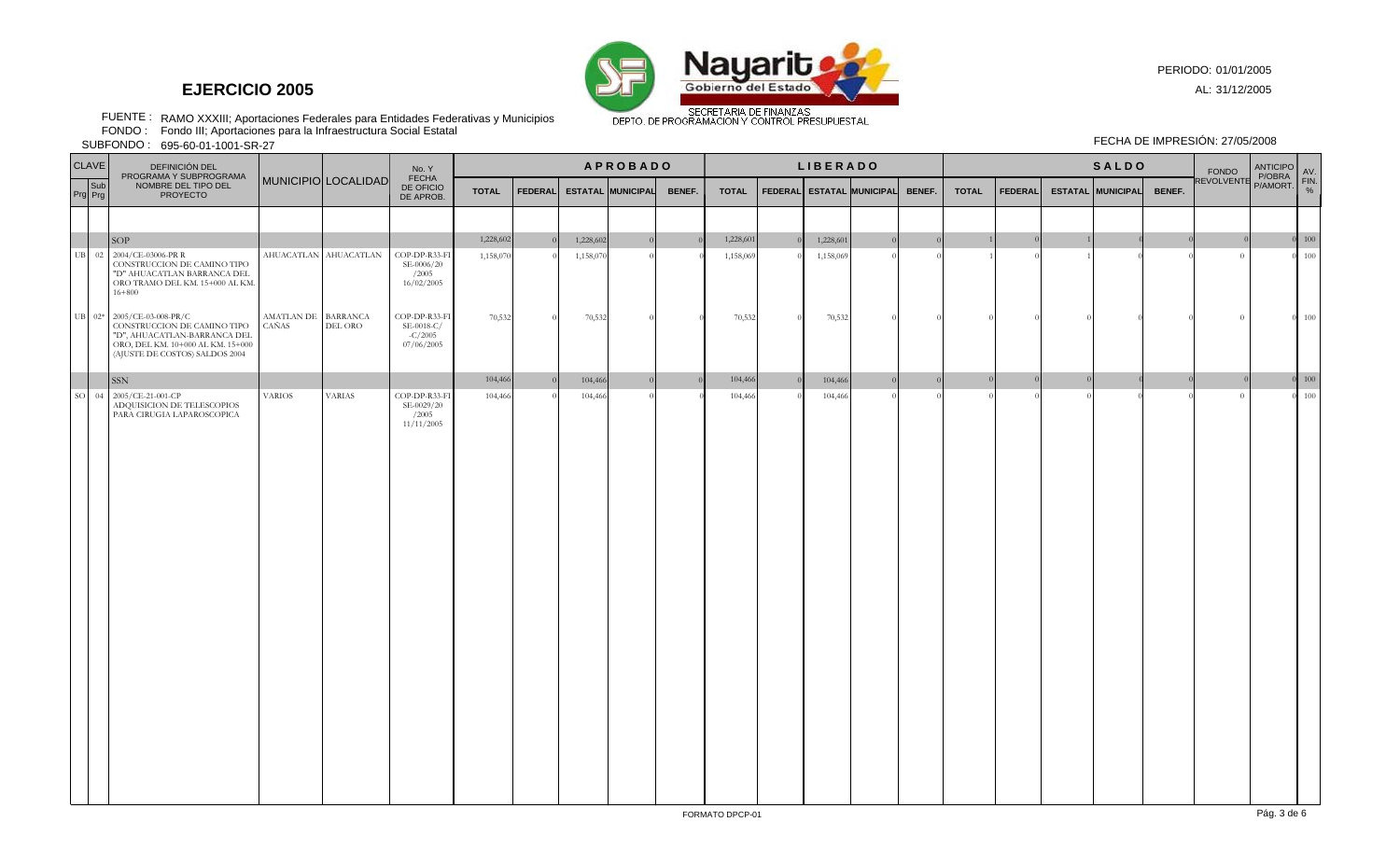

PERIODO: 01/01/2005

AL: 31/12/2005

RAMO XXXIII; Aportaciones Federales para Entidades Federativas y Municipios FUENTE : FONDO : FECHA DE IMPRESIÓN: 27/05/2008

Fondo III; Aportaciones para la Infraestructura Social Estatal

695-60-01-1001-SR-27 SUBFONDO :

|               | <b>CLAVE</b><br>DEFINICIÓN DEL<br>PROGRAMA Y SUBPROGRAMA<br>MUNICIPIO LOCALIDAD |                                                                                                                                                                  |                              |                       | No. Y                                                  | <b>APROBADO</b> |                |           |                          |        |              | <b>LIBERADO</b> |                           |  |        |              | <b>SALDO</b>   |  |                          |        |                                                 | AV.          |
|---------------|---------------------------------------------------------------------------------|------------------------------------------------------------------------------------------------------------------------------------------------------------------|------------------------------|-----------------------|--------------------------------------------------------|-----------------|----------------|-----------|--------------------------|--------|--------------|-----------------|---------------------------|--|--------|--------------|----------------|--|--------------------------|--------|-------------------------------------------------|--------------|
|               | Sub<br>Prg Prg                                                                  | NOMBRE DEL TIPO DEL<br><b>PROYECTO</b>                                                                                                                           |                              |                       | <b>FECHA</b><br>DE OFICIO<br>DE APROB.                 | <b>TOTAL</b>    | <b>FEDERAL</b> |           | <b>ESTATAL MUNICIPAL</b> | BENEF. | <b>TOTAL</b> |                 | FEDERAL ESTATAL MUNICIPAL |  | BENEF. | <b>TOTAL</b> | <b>FEDERAL</b> |  | <b>ESTATAL MUNICIPAL</b> | BENEF. | FONDO ANTICIPO<br>REVOLVENTE P/OBRA<br>P/AMORT. | FIN.<br>$\%$ |
|               |                                                                                 |                                                                                                                                                                  |                              |                       |                                                        |                 |                |           |                          |        |              |                 |                           |  |        |              |                |  |                          |        |                                                 |              |
|               |                                                                                 | SOP                                                                                                                                                              |                              |                       |                                                        | 1,228,602       |                | 1,228,602 |                          |        | 1,228,601    |                 | 1,228,601                 |  |        |              |                |  |                          |        |                                                 | 100          |
| UB            |                                                                                 | 02 2004/CE-03006-PR R<br>CONSTRUCCION DE CAMINO TIPO<br>"D" AHUACATLAN BARRANCA DEL<br>ORO TRAMO DEL KM. 15+000 AL KM.<br>$16 + 800$                             |                              | AHUACATLAN AHUACATLAN | COP-DP-R33-FI<br>SE-0006/20<br>/2005<br>16/02/2005     | 1,158,070       |                | 1,158,07  |                          |        | 1,158,069    |                 | 1,158,069                 |  |        |              |                |  |                          |        | $\Omega$                                        | 100          |
|               |                                                                                 | UB 02* 2005/CE-03-008-PR/C<br>CONSTRUCCION DE CAMINO TIPO<br>"D", AHUACATLAN-BARRANCA DEL<br>ORO, DEL KM. 10+000 AL KM. 15+000<br>(AJUSTE DE COSTOS) SALDOS 2004 | AMATLAN DE BARRANCA<br>CAÑAS | DEL ORO               | COP-DP-R33-FI<br>SE-0018-C/<br>$-C/2005$<br>07/06/2005 | 70,532          |                | 70,532    |                          |        | 70,532       | $\theta$        | 70,532                    |  |        |              |                |  |                          |        | $\overline{0}$                                  | $0 - 100$    |
|               |                                                                                 | <b>SSN</b>                                                                                                                                                       |                              |                       |                                                        | 104,466         |                | 104,466   | $\sqrt{ }$               |        | 104,466      |                 | 104,466                   |  |        |              |                |  |                          |        |                                                 | $0 - 100$    |
| <sub>SO</sub> | 04                                                                              | 2005/CE-21-001-CP<br>ADQUISICION DE TELESCOPIOS<br>PARA CIRUGIA LAPAROSCOPICA                                                                                    | <b>VARIOS</b>                | <b>VARIAS</b>         | COP-DP-R33-FI<br>SE-0029/20<br>/2005<br>11/11/2005     | 104,466         |                | 104,466   |                          |        | 104,466      |                 | 104,466                   |  |        |              |                |  |                          |        | $\sqrt{ }$                                      | 100          |
|               |                                                                                 |                                                                                                                                                                  |                              |                       |                                                        |                 |                |           |                          |        |              |                 |                           |  |        |              |                |  |                          |        |                                                 |              |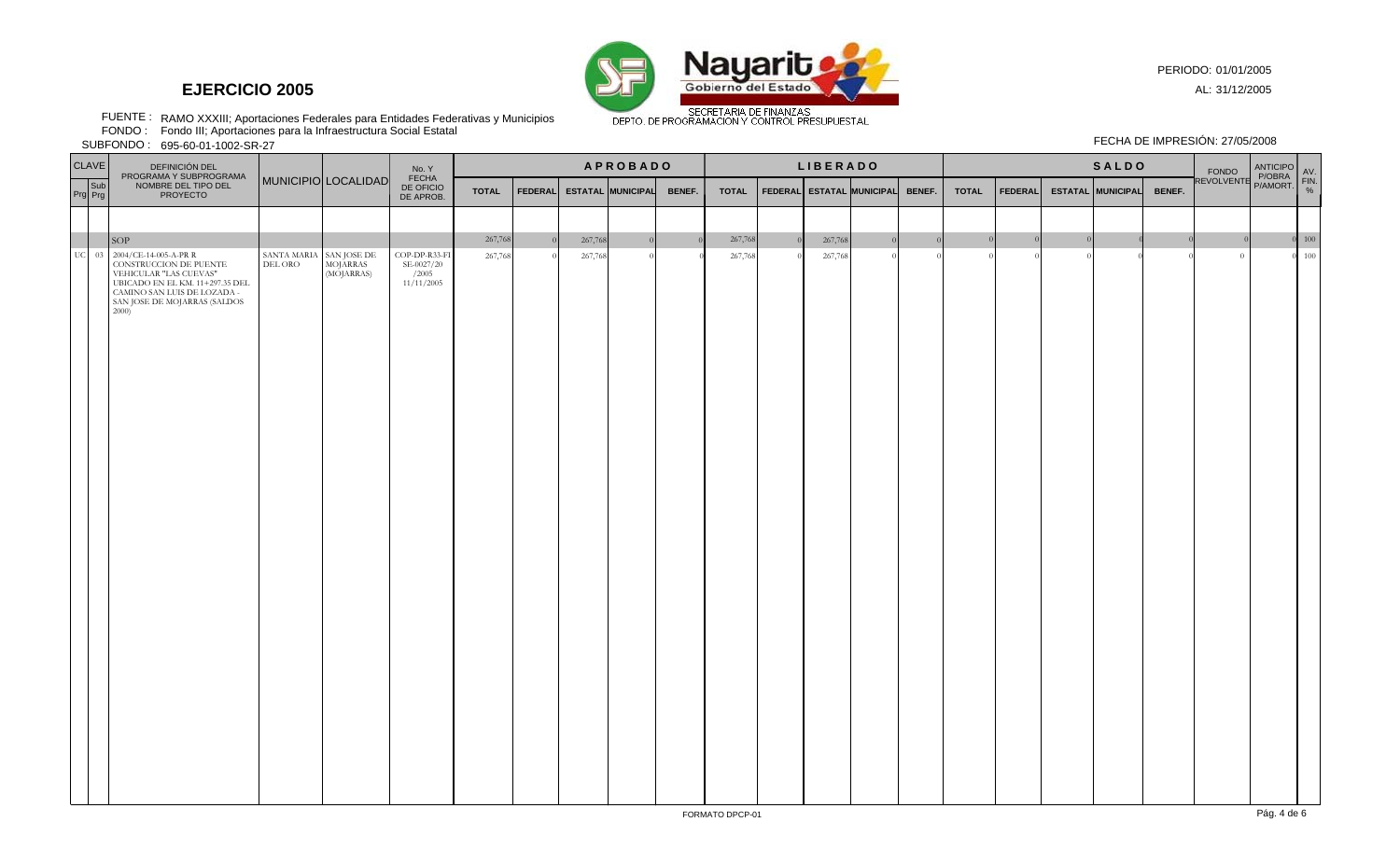

PERIODO: 01/01/2005

FECHA DE IMPRESIÓN: 27/05/2008

AL: 31/12/2005

RAMO XXXIII; Aportaciones Federales para Entidades Federativas y Municipios FUENTE : FONDO :

Fondo III; Aportaciones para la Infraestructura Social Estatal

695-60-01-1002-SR-27 SUBFONDO :

| CLAVE<br>DEFINICIÓN DEL<br>PROGRAMA Y SUBPROGRAMA<br>MUNICIPIO LOCALIDAD |                                                                                                                                                                                                      |                                                                                                                                                      | No. Y<br>FECHA | <b>APROBADO</b>                                    |                    |                |                    |                          |                | <b>LIBERADO</b> |  |                    |                                     |              | <b>SALDO</b>   |  |                          |        |                                                  |  |                     |
|--------------------------------------------------------------------------|------------------------------------------------------------------------------------------------------------------------------------------------------------------------------------------------------|------------------------------------------------------------------------------------------------------------------------------------------------------|----------------|----------------------------------------------------|--------------------|----------------|--------------------|--------------------------|----------------|-----------------|--|--------------------|-------------------------------------|--------------|----------------|--|--------------------------|--------|--------------------------------------------------|--|---------------------|
| Sub<br>Prg Prg                                                           | NOMBRE DEL TIPO DEL<br><b>PROYECTO</b>                                                                                                                                                               |                                                                                                                                                      |                | DE OFICIO<br>DE APROB.                             | <b>TOTAL</b>       | <b>FEDERAL</b> |                    | <b>ESTATAL MUNICIPAL</b> | BENEF.         | <b>TOTAL</b>    |  |                    | FEDERAL ESTATAL MUNICIPAL<br>BENEF. | <b>TOTAL</b> | <b>FEDERAL</b> |  | <b>ESTATAL MUNICIPAL</b> | BENEF. | FONDO<br>FONDO POBRA FIN.<br>REVOLVENTE P/AMORT. |  |                     |
|                                                                          |                                                                                                                                                                                                      |                                                                                                                                                      |                |                                                    |                    |                |                    |                          |                |                 |  |                    |                                     |              |                |  |                          |        |                                                  |  |                     |
|                                                                          |                                                                                                                                                                                                      |                                                                                                                                                      |                |                                                    |                    |                |                    | $\overline{0}$           | $\overline{0}$ | 267,768         |  |                    |                                     |              |                |  |                          |        |                                                  |  |                     |
|                                                                          | SOP<br>UC 03 2004/CE-14-005-A-PR R<br>CONSTRUCCION DE PUENTE<br>VEHICULAR "LAS CUEVAS"<br>UBICADO EN EL KM. 11+297.35 DEL<br>CAMINO SAN LUIS DE LOZADA -<br>SAN JOSE DE MOJARRAS (SALDOS<br>$2000$ ) | $\begin{tabular}{ c c c } \hline \texttt{SANTA MARIA} & \texttt{SAN JOSE DE} \\ \hline \texttt{DEL ORO} & \texttt{MOJARRAS} \\ \hline \end{tabular}$ | (MOJARRAS)     | COP-DP-R33-FI<br>SE-0027/20<br>/2005<br>11/11/2005 | 267,768<br>267,768 |                | 267,768<br>267,768 | $\Omega$                 |                | 267,768         |  | 267,768<br>267,768 |                                     |              |                |  |                          |        | $\overline{0}$                                   |  | $0\quad 100$<br>100 |
|                                                                          |                                                                                                                                                                                                      |                                                                                                                                                      |                |                                                    |                    |                |                    |                          |                |                 |  |                    |                                     |              |                |  |                          |        |                                                  |  |                     |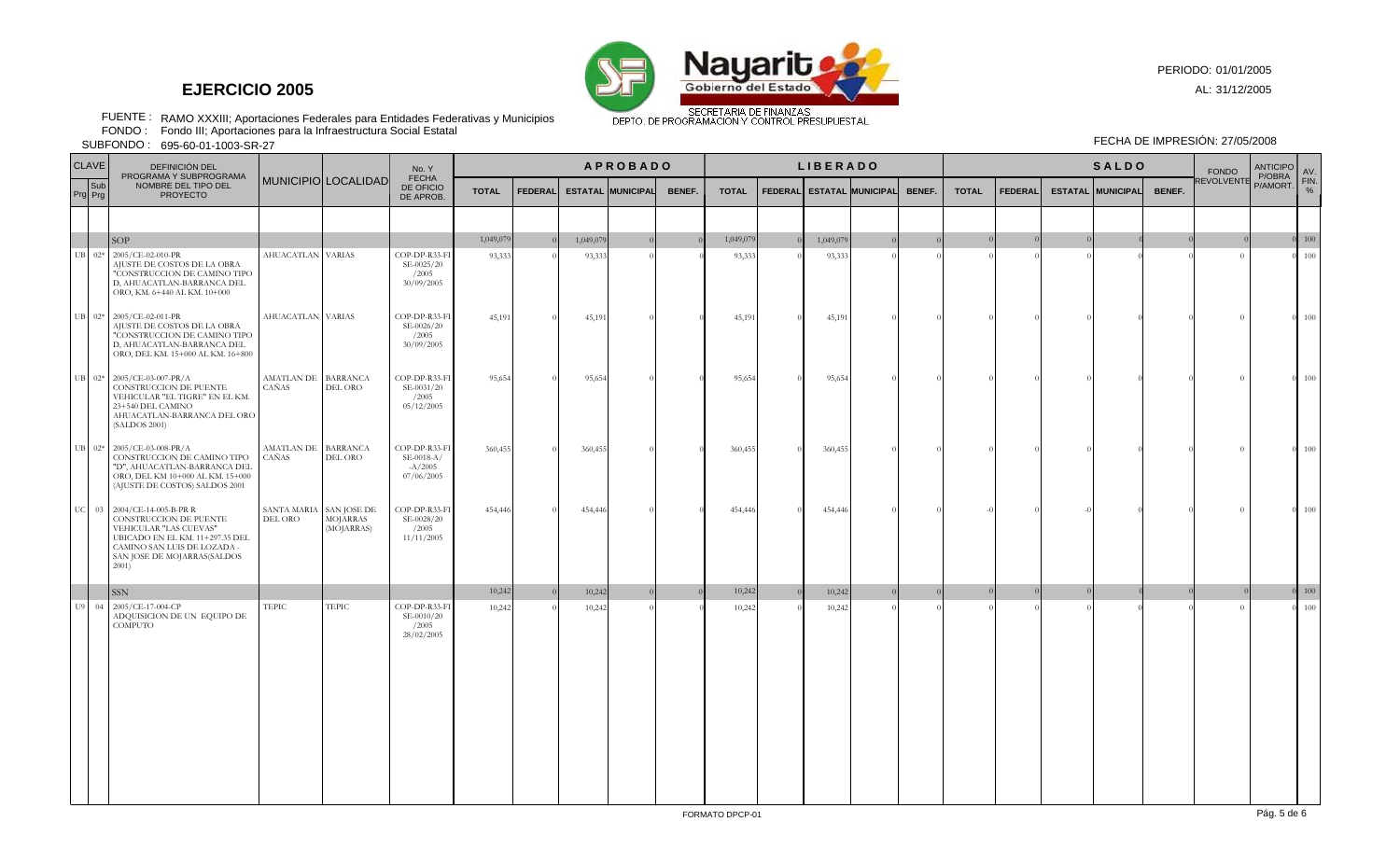

RAMO XXXIII; Aportaciones Federales para Entidades Federativas y Municipios FUENTE : FONDO : FECHA DE IMPRESIÓN: 27/05/2008

Fondo III; Aportaciones para la Infraestructura Social Estatal

695-60-01-1003-SR-27 SUBFONDO :

| <b>CLAVE</b>   | <b>DEFINICIÓN DEL</b>                                                                                                                                                                    |                                    |                               | No. Y                                                    |              |                 |           |                          | <b>APROBADO</b> | <b>LIBERADO</b> |          |                           |  |        | <b>SALDO</b> |                |  |                          |        | <b>FONDO</b>      | <b>ANTICIPO</b><br>P/OBRA | AV.           |
|----------------|------------------------------------------------------------------------------------------------------------------------------------------------------------------------------------------|------------------------------------|-------------------------------|----------------------------------------------------------|--------------|-----------------|-----------|--------------------------|-----------------|-----------------|----------|---------------------------|--|--------|--------------|----------------|--|--------------------------|--------|-------------------|---------------------------|---------------|
| Sub<br>Prg Prg | PROGRAMA Y SUBPROGRAMA<br>NOMBRE DEL TIPO DEL<br><b>PROYECTO</b>                                                                                                                         |                                    | MUNICIPIO LOCALIDAD           | <b>FECHA</b><br>DE OFICIO<br>DE APROB.                   | <b>TOTAL</b> | <b>FEDERALI</b> |           | <b>ESTATAL MUNICIPAL</b> | BENEF.          | <b>TOTAL</b>    |          | FEDERAL ESTATAL MUNICIPAL |  | BENEF. | <b>TOTAL</b> | <b>FEDERAL</b> |  | <b>ESTATAL MUNICIPAL</b> | BENEF. | <b>REVOLVENTE</b> | P/AMORT.                  | FIN.<br>%     |
|                |                                                                                                                                                                                          |                                    |                               |                                                          |              |                 |           |                          |                 |                 |          |                           |  |        |              |                |  |                          |        |                   |                           |               |
|                | <b>SOP</b>                                                                                                                                                                               |                                    |                               |                                                          | 1,049,079    |                 | 1,049,079 |                          |                 | 1,049,079       |          | 1,049,07                  |  |        |              |                |  |                          |        |                   |                           | $0 \quad 100$ |
| $UB$ 02*       | 2005/CE-02-010-PR<br>AJUSTE DE COSTOS DE LA OBRA<br>"CONSTRUCCION DE CAMINO TIPO<br>D, AHUACATLAN-BARRANCA DEL<br>ORO, KM. 6+440 AL KM. 10+000                                           | AHUACATLAN VARIAS                  |                               | COP-DP-R33-FI<br>SE-0025/20<br>/2005<br>30/09/2005       | 93,333       |                 | 93,333    |                          |                 | 93,333          |          | 93,333                    |  |        |              |                |  |                          |        | $\Omega$          |                           | 100           |
|                | UB 02* 2005/CE-02-011-PR<br>AJUSTE DE COSTOS DE LA OBRA<br>"CONSTRUCCION DE CAMINO TIPO<br>D, AHUACATLAN-BARRANCA DEL<br>ORO, DEL KM. 15+000 AL KM. 16+800                               | AHUACATLAN VARIAS                  |                               | COP-DP-R33-FI<br>SE-0026/20<br>/2005<br>30/09/2005       | 45,191       |                 | 45,191    |                          |                 | 45,191          | $\Omega$ | 45,191                    |  |        |              |                |  |                          |        | $\Omega$          |                           | $0 - 100$     |
|                | UB 02* 2005/CE-03-007-PR/A<br>CONSTRUCCION DE PUENTE<br>VEHICULAR "EL TIGRE" EN EL KM.<br>23+540 DEL CAMINO<br>AHUACATLAN-BARRANCA DEL ORO<br>(SALDOS 2001)                              | AMATLAN DE BARRANCA<br>CAÑAS       | DEL ORO                       | COP-DP-R33-FI<br>SE-0031/20<br>/2005<br>05/12/2005       | 95,654       |                 | 95,654    |                          |                 | 95,654          | $\Omega$ | 95,654                    |  |        |              |                |  |                          |        | $\Omega$          | $\Omega$                  | 100           |
|                | UB 02* 2005/CE-03-008-PR/A<br>CONSTRUCCION DE CAMINO TIPO<br>"D", AHUACATLAN-BARRANCA DEL<br>ORO, DEL KM 10+000 AL KM. 15+000<br>(AJUSTE DE COSTOS) SALDOS 2001                          | AMATLAN DE BARRANCA<br>CAÑAS       | DEL ORO                       | COP-DP-R33-FI<br>$SE-0018-A/$<br>$-A/2005$<br>07/06/2005 | 360,455      |                 | 360,455   |                          |                 | 360,455         | $\Omega$ | 360,455                   |  |        |              |                |  |                          |        | $\Omega$          | $\Omega$                  | 100           |
|                | UC 03 2004/CE-14-005-B-PR R<br>CONSTRUCCION DE PUENTE<br>VEHICULAR "LAS CUEVAS"<br>UBICADO EN EL KM. 11+297.35 DEL<br>CAMINO SAN LUIS DE LOZADA -<br>SAN JOSE DE MOJARRAS(SALDOS<br>2001 | SANTA MARIA SAN JOSE DE<br>DEL ORO | <b>MOJARRAS</b><br>(MOJARRAS) | COP-DP-R33-FI<br>SE-0028/20<br>/2005<br>11/11/2005       | 454,446      |                 | 454,446   |                          |                 | 454,446         | $\Omega$ | 454,446                   |  |        |              |                |  |                          |        | $\Omega$          | $\Omega$                  | 100           |
|                | <b>SSN</b>                                                                                                                                                                               |                                    |                               |                                                          | 10,242       |                 | 10,242    |                          |                 | 10,242          |          | 10,242                    |  |        |              |                |  |                          |        |                   |                           | 100           |
| U9 04          | 2005/CE-17-004-CP<br>ADQUISICION DE UN EQUIPO DE<br><b>COMPUTO</b>                                                                                                                       | <b>TEPIC</b>                       | <b>TEPIC</b>                  | COP-DP-R33-FI<br>SE-0010/20<br>/2005<br>28/02/2005       | 10,242       |                 | 10,242    |                          |                 | 10,242          |          | 10,242                    |  |        |              |                |  |                          |        | $\Omega$          |                           | 100           |

PERIODO: 01/01/2005

AL: 31/12/2005